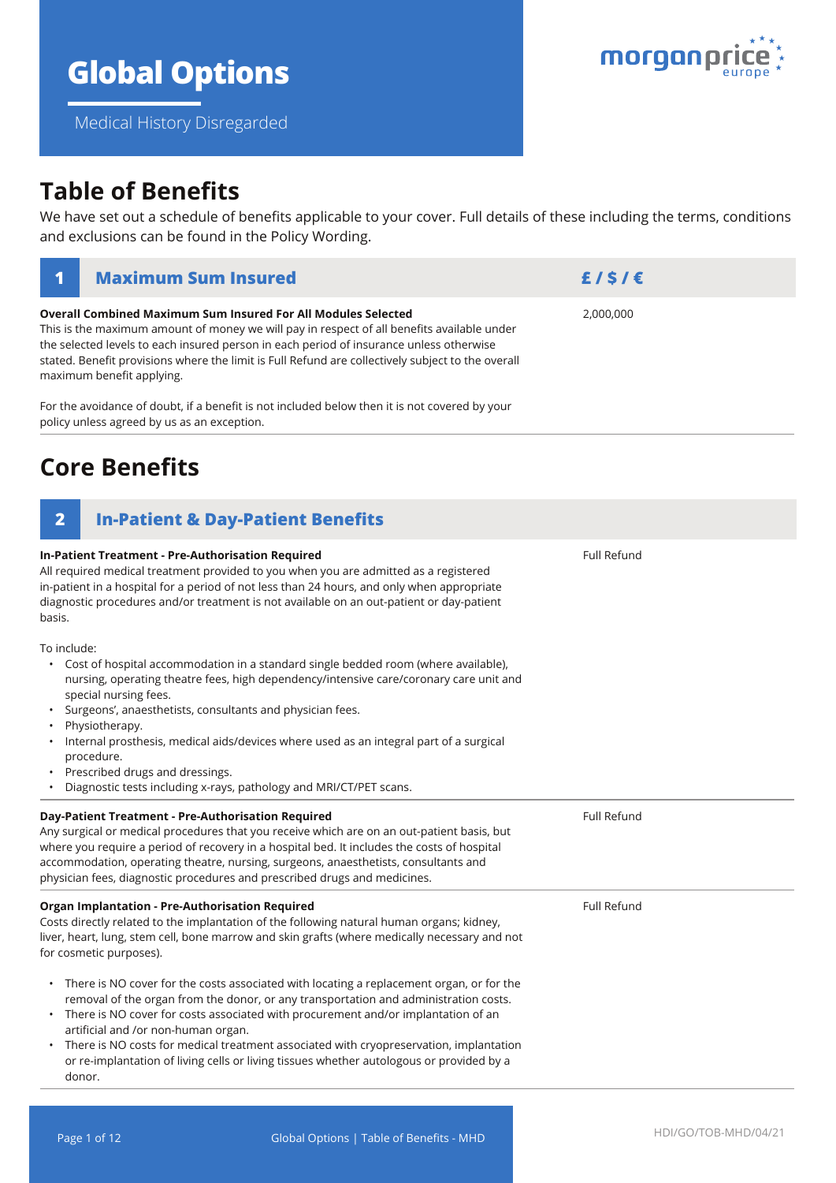# **Global Options**

Medical History Disregarded

**Overall Combined Maximum Sum Insured For All Modules Selected**

This is the maximum amount of money we will pay in respect of all benefits available under

## **Table of Benefits**

We have set out a schedule of benefits applicable to your cover. Full details of these including the terms, conditions and exclusions can be found in the Policy Wording.

| the selected levels to each insured person in each period of insurance unless otherwise<br>stated. Benefit provisions where the limit is Full Refund are collectively subject to the overall<br>maximum benefit applying.                                                                                                                                                                                                                                                                                            |                    |  |  |  |
|----------------------------------------------------------------------------------------------------------------------------------------------------------------------------------------------------------------------------------------------------------------------------------------------------------------------------------------------------------------------------------------------------------------------------------------------------------------------------------------------------------------------|--------------------|--|--|--|
| For the avoidance of doubt, if a benefit is not included below then it is not covered by your<br>policy unless agreed by us as an exception.                                                                                                                                                                                                                                                                                                                                                                         |                    |  |  |  |
| <b>Core Benefits</b>                                                                                                                                                                                                                                                                                                                                                                                                                                                                                                 |                    |  |  |  |
| $\overline{\mathbf{2}}$<br><b>In-Patient &amp; Day-Patient Benefits</b>                                                                                                                                                                                                                                                                                                                                                                                                                                              |                    |  |  |  |
| In-Patient Treatment - Pre-Authorisation Required<br>All required medical treatment provided to you when you are admitted as a registered<br>in-patient in a hospital for a period of not less than 24 hours, and only when appropriate<br>diagnostic procedures and/or treatment is not available on an out-patient or day-patient<br>basis.                                                                                                                                                                        | <b>Full Refund</b> |  |  |  |
| To include:<br>Cost of hospital accommodation in a standard single bedded room (where available),<br>nursing, operating theatre fees, high dependency/intensive care/coronary care unit and<br>special nursing fees.<br>Surgeons', anaesthetists, consultants and physician fees.<br>Physiotherapy.<br>Internal prosthesis, medical aids/devices where used as an integral part of a surgical<br>procedure.<br>Prescribed drugs and dressings.<br>Diagnostic tests including x-rays, pathology and MRI/CT/PET scans. |                    |  |  |  |
| Day-Patient Treatment - Pre-Authorisation Required<br>Any surgical or medical procedures that you receive which are on an out-patient basis, but<br>where you require a period of recovery in a hospital bed. It includes the costs of hospital<br>accommodation, operating theatre, nursing, surgeons, anaesthetists, consultants and<br>physician fees, diagnostic procedures and prescribed drugs and medicines.                                                                                                  | <b>Full Refund</b> |  |  |  |
| <b>Organ Implantation - Pre-Authorisation Required</b><br>Costs directly related to the implantation of the following natural human organs; kidney,<br>liver, heart, lung, stem cell, bone marrow and skin grafts (where medically necessary and not<br>for cosmetic purposes).                                                                                                                                                                                                                                      | <b>Full Refund</b> |  |  |  |

- There is NO cover for the costs associated with locating a replacement organ, or for the removal of the organ from the donor, or any transportation and administration costs.
- There is NO cover for costs associated with procurement and/or implantation of an artificial and /or non-human organ.
- There is NO costs for medical treatment associated with cryopreservation, implantation or re-implantation of living cells or living tissues whether autologous or provided by a donor.



2,000,000

**1 Maximum Sum Insured £ / \$ / €**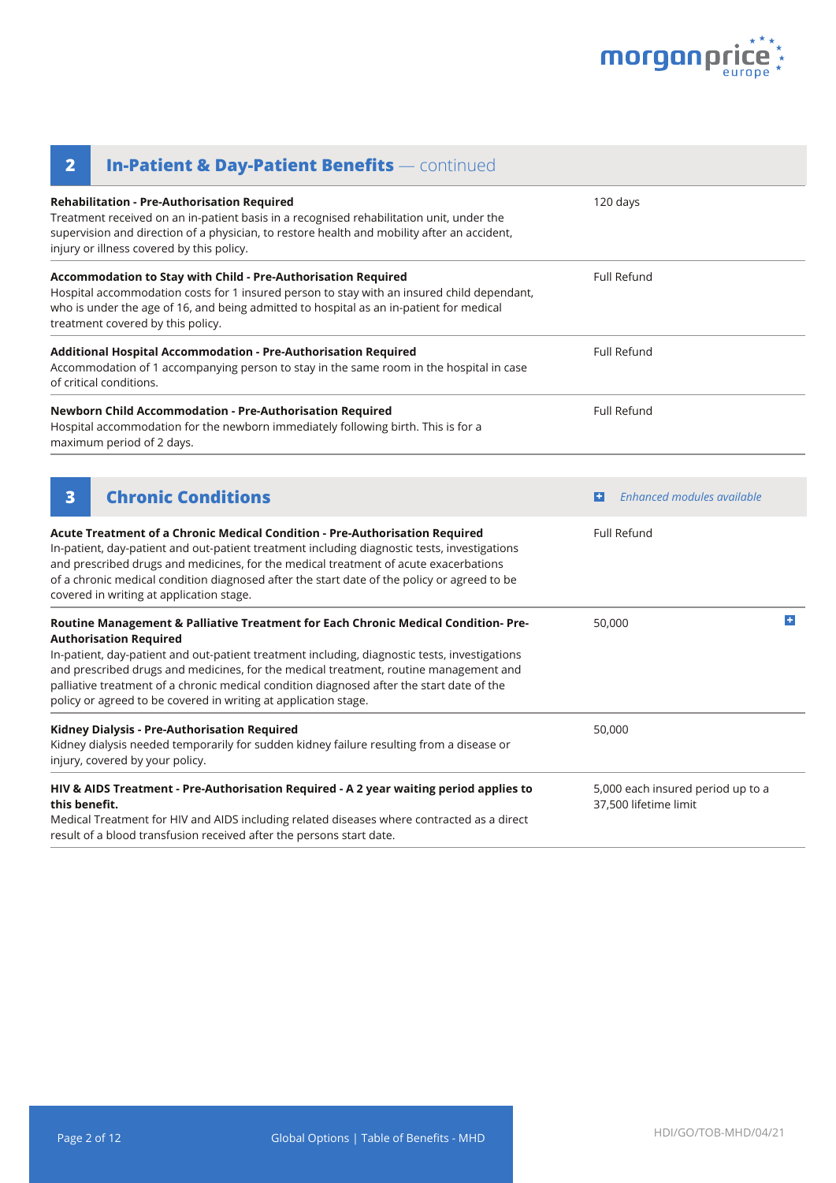

| <b>In-Patient &amp; Day-Patient Benefits - continued</b><br>$\overline{\mathbf{2}}$                                                                                                                                                                                                                                                                                                                                                                                           |                                                            |    |
|-------------------------------------------------------------------------------------------------------------------------------------------------------------------------------------------------------------------------------------------------------------------------------------------------------------------------------------------------------------------------------------------------------------------------------------------------------------------------------|------------------------------------------------------------|----|
| <b>Rehabilitation - Pre-Authorisation Required</b><br>Treatment received on an in-patient basis in a recognised rehabilitation unit, under the<br>supervision and direction of a physician, to restore health and mobility after an accident,<br>injury or illness covered by this policy.                                                                                                                                                                                    | 120 days                                                   |    |
| Accommodation to Stay with Child - Pre-Authorisation Required<br>Hospital accommodation costs for 1 insured person to stay with an insured child dependant,<br>who is under the age of 16, and being admitted to hospital as an in-patient for medical<br>treatment covered by this policy.                                                                                                                                                                                   | <b>Full Refund</b>                                         |    |
| Additional Hospital Accommodation - Pre-Authorisation Required<br>Accommodation of 1 accompanying person to stay in the same room in the hospital in case<br>of critical conditions.                                                                                                                                                                                                                                                                                          | <b>Full Refund</b>                                         |    |
| Newborn Child Accommodation - Pre-Authorisation Required<br>Hospital accommodation for the newborn immediately following birth. This is for a<br>maximum period of 2 days.                                                                                                                                                                                                                                                                                                    | <b>Full Refund</b>                                         |    |
| <b>Chronic Conditions</b><br>3                                                                                                                                                                                                                                                                                                                                                                                                                                                | <b>Enhanced modules available</b><br>н                     |    |
| Acute Treatment of a Chronic Medical Condition - Pre-Authorisation Required<br>In-patient, day-patient and out-patient treatment including diagnostic tests, investigations<br>and prescribed drugs and medicines, for the medical treatment of acute exacerbations<br>of a chronic medical condition diagnosed after the start date of the policy or agreed to be<br>covered in writing at application stage.                                                                | <b>Full Refund</b>                                         |    |
| Routine Management & Palliative Treatment for Each Chronic Medical Condition- Pre-<br><b>Authorisation Required</b><br>In-patient, day-patient and out-patient treatment including, diagnostic tests, investigations<br>and prescribed drugs and medicines, for the medical treatment, routine management and<br>palliative treatment of a chronic medical condition diagnosed after the start date of the<br>policy or agreed to be covered in writing at application stage. | 50,000                                                     | P. |
| Kidney Dialysis - Pre-Authorisation Required<br>Kidney dialysis needed temporarily for sudden kidney failure resulting from a disease or<br>injury, covered by your policy.                                                                                                                                                                                                                                                                                                   | 50,000                                                     |    |
| HIV & AIDS Treatment - Pre-Authorisation Required - A 2 year waiting period applies to<br>this benefit.<br>Medical Treatment for HIV and AIDS including related diseases where contracted as a direct<br>result of a blood transfusion received after the persons start date.                                                                                                                                                                                                 | 5,000 each insured period up to a<br>37,500 lifetime limit |    |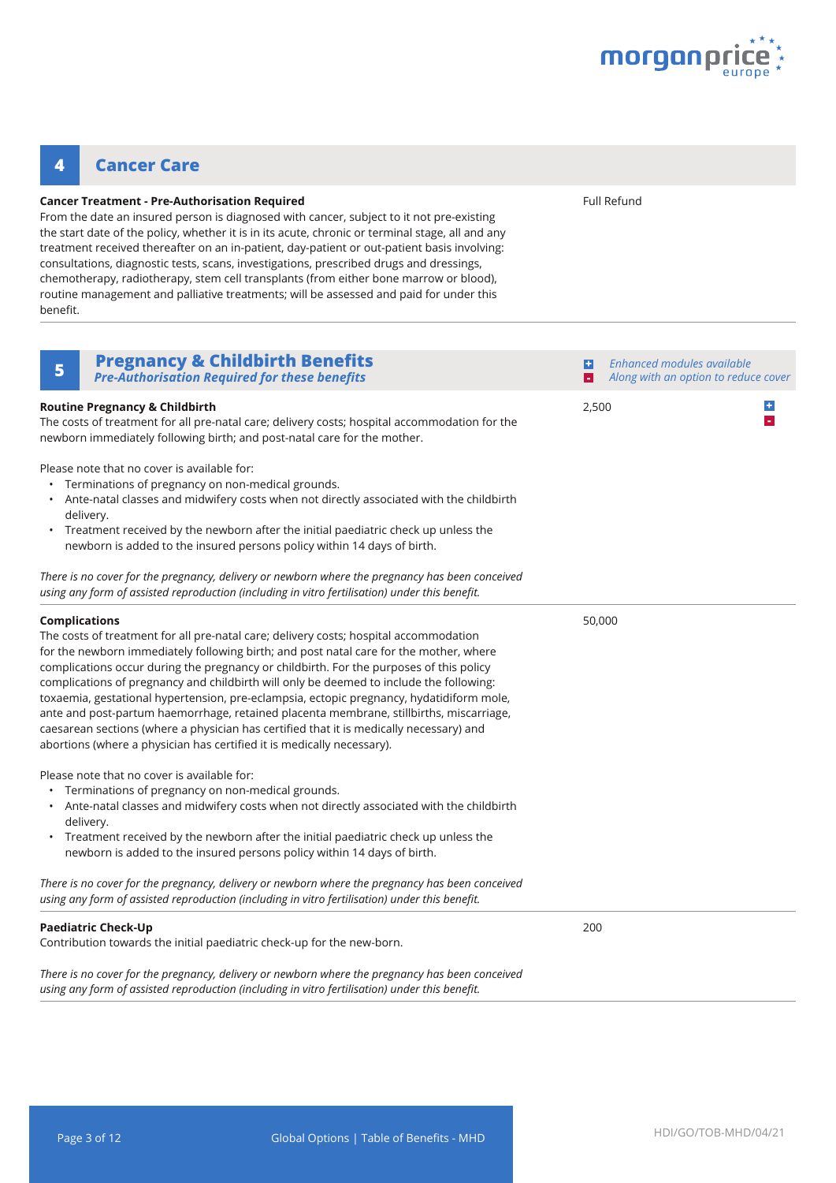

### **4 Cancer Care**

#### **Cancer Treatment - Pre-Authorisation Required**

From the date an insured person is diagnosed with cancer, subject to it not pre-existing the start date of the policy, whether it is in its acute, chronic or terminal stage, all and any treatment received thereafter on an in-patient, day-patient or out-patient basis involving: consultations, diagnostic tests, scans, investigations, prescribed drugs and dressings, chemotherapy, radiotherapy, stem cell transplants (from either bone marrow or blood), routine management and palliative treatments; will be assessed and paid for under this benefit.

Full Refund

| <b>Pregnancy &amp; Childbirth Benefits</b><br>5<br><b>Pre-Authorisation Required for these benefits</b>                                                                                                                                                                                                                                                                                                                                                                                                                                                                                                                                                                                                                                                   | H      | Enhanced modules available<br>Along with an option to reduce cover |
|-----------------------------------------------------------------------------------------------------------------------------------------------------------------------------------------------------------------------------------------------------------------------------------------------------------------------------------------------------------------------------------------------------------------------------------------------------------------------------------------------------------------------------------------------------------------------------------------------------------------------------------------------------------------------------------------------------------------------------------------------------------|--------|--------------------------------------------------------------------|
| <b>Routine Pregnancy &amp; Childbirth</b><br>The costs of treatment for all pre-natal care; delivery costs; hospital accommodation for the<br>newborn immediately following birth; and post-natal care for the mother.                                                                                                                                                                                                                                                                                                                                                                                                                                                                                                                                    | 2,500  | $\div$<br>×.                                                       |
| Please note that no cover is available for:<br>Terminations of pregnancy on non-medical grounds.<br>Ante-natal classes and midwifery costs when not directly associated with the childbirth<br>delivery.<br>Treatment received by the newborn after the initial paediatric check up unless the<br>newborn is added to the insured persons policy within 14 days of birth.                                                                                                                                                                                                                                                                                                                                                                                 |        |                                                                    |
| There is no cover for the pregnancy, delivery or newborn where the pregnancy has been conceived<br>using any form of assisted reproduction (including in vitro fertilisation) under this benefit.                                                                                                                                                                                                                                                                                                                                                                                                                                                                                                                                                         |        |                                                                    |
| <b>Complications</b><br>The costs of treatment for all pre-natal care; delivery costs; hospital accommodation<br>for the newborn immediately following birth; and post natal care for the mother, where<br>complications occur during the pregnancy or childbirth. For the purposes of this policy<br>complications of pregnancy and childbirth will only be deemed to include the following:<br>toxaemia, gestational hypertension, pre-eclampsia, ectopic pregnancy, hydatidiform mole,<br>ante and post-partum haemorrhage, retained placenta membrane, stillbirths, miscarriage,<br>caesarean sections (where a physician has certified that it is medically necessary) and<br>abortions (where a physician has certified it is medically necessary). | 50,000 |                                                                    |
| Please note that no cover is available for:<br>• Terminations of pregnancy on non-medical grounds.<br>Ante-natal classes and midwifery costs when not directly associated with the childbirth<br>delivery.<br>Treatment received by the newborn after the initial paediatric check up unless the<br>newborn is added to the insured persons policy within 14 days of birth.                                                                                                                                                                                                                                                                                                                                                                               |        |                                                                    |
| There is no cover for the pregnancy, delivery or newborn where the pregnancy has been conceived<br>using any form of assisted reproduction (including in vitro fertilisation) under this benefit.                                                                                                                                                                                                                                                                                                                                                                                                                                                                                                                                                         |        |                                                                    |
| <b>Paediatric Check-Up</b><br>Contribution towards the initial paediatric check-up for the new-born.                                                                                                                                                                                                                                                                                                                                                                                                                                                                                                                                                                                                                                                      | 200    |                                                                    |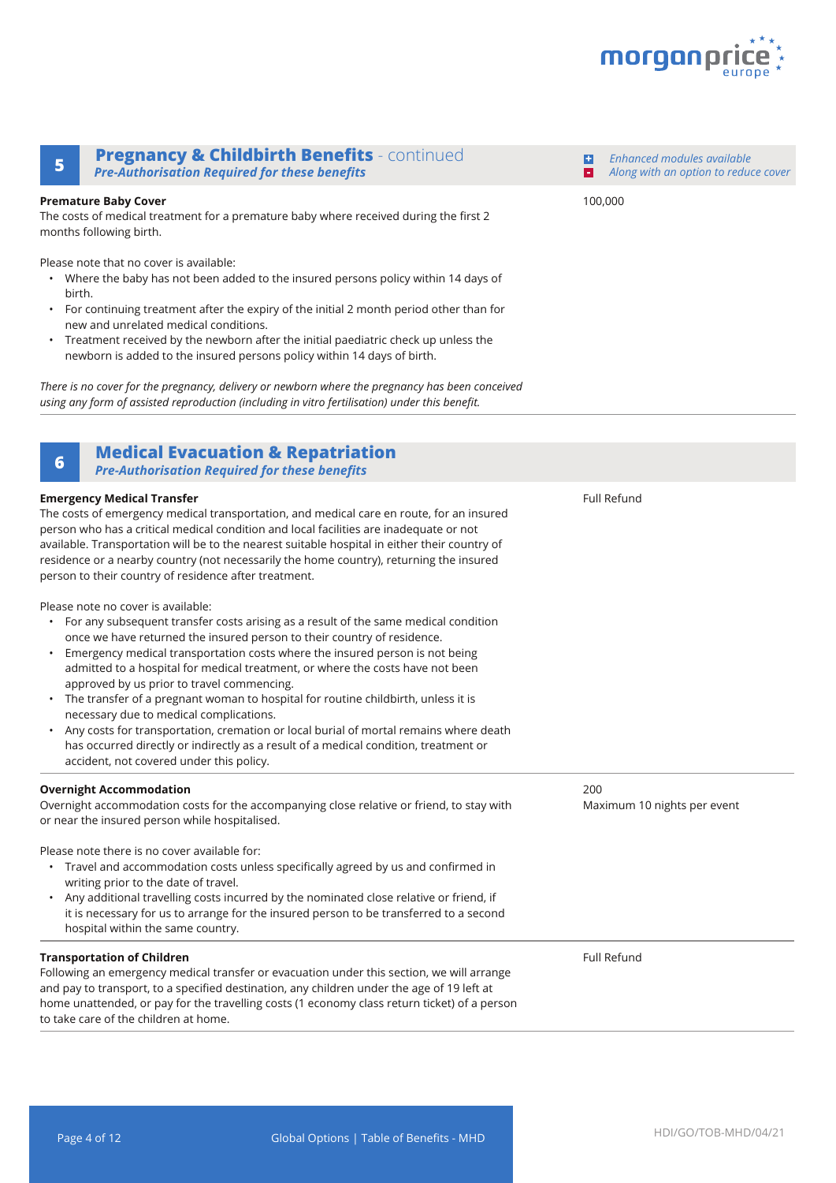

*Enhanced modules available Along with an option to reduce cover*

### **Pregnancy & Childbirth Benefits** - continued **<sup>5</sup> -** *Pre-Authorisation Required for these benefits*

#### **Premature Baby Cover**

The costs of medical treatment for a premature baby where received during the first 2 months following birth.

Please note that no cover is available:

- Where the baby has not been added to the insured persons policy within 14 days of birth.
- For continuing treatment after the expiry of the initial 2 month period other than for new and unrelated medical conditions.
- Treatment received by the newborn after the initial paediatric check up unless the newborn is added to the insured persons policy within 14 days of birth.

*There is no cover for the pregnancy, delivery or newborn where the pregnancy has been conceived using any form of assisted reproduction (including in vitro fertilisation) under this benefit.* 

### **Medical Evacuation & Repatriation <sup>6</sup>**

*Pre-Authorisation Required for these benefits*

### **Emergency Medical Transfer** The costs of emergency medical transportation, and medical care en route, for an insured person who has a critical medical condition and local facilities are inadequate or not available. Transportation will be to the nearest suitable hospital in either their country of residence or a nearby country (not necessarily the home country), returning the insured person to their country of residence after treatment. Please note no cover is available: • For any subsequent transfer costs arising as a result of the same medical condition once we have returned the insured person to their country of residence. • Emergency medical transportation costs where the insured person is not being admitted to a hospital for medical treatment, or where the costs have not been approved by us prior to travel commencing. • The transfer of a pregnant woman to hospital for routine childbirth, unless it is necessary due to medical complications. • Any costs for transportation, cremation or local burial of mortal remains where death has occurred directly or indirectly as a result of a medical condition, treatment or accident, not covered under this policy. Full Refund **Overnight Accommodation** Overnight accommodation costs for the accompanying close relative or friend, to stay with or near the insured person while hospitalised. Please note there is no cover available for: • Travel and accommodation costs unless specifically agreed by us and confirmed in writing prior to the date of travel. • Any additional travelling costs incurred by the nominated close relative or friend, if it is necessary for us to arrange for the insured person to be transferred to a second hospital within the same country. 200 Maximum 10 nights per event **Transportation of Children** Following an emergency medical transfer or evacuation under this section, we will arrange and pay to transport, to a specified destination, any children under the age of 19 left at home unattended, or pay for the travelling costs (1 economy class return ticket) of a person to take care of the children at home. Full Refund

100,000

**+**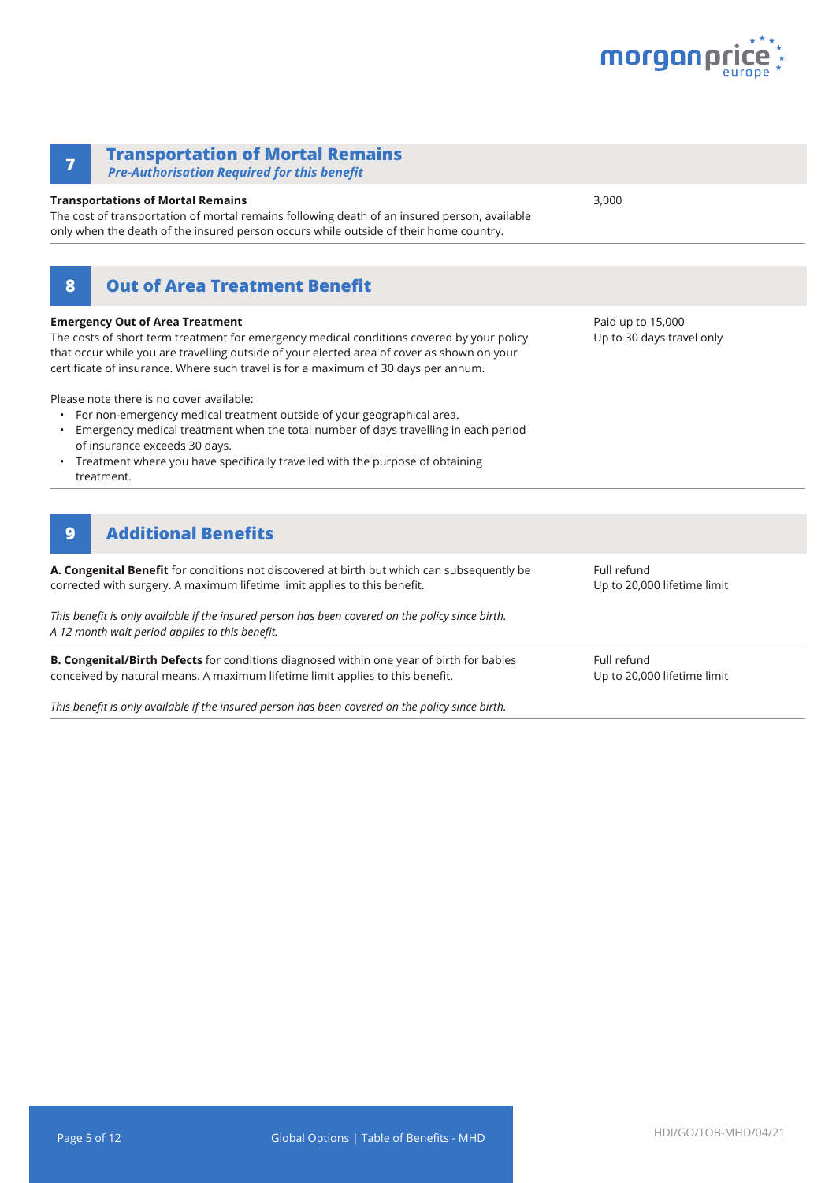

| <b>Transportation of Mortal Remains</b><br>7<br><b>Pre-Authorisation Required for this benefit</b>                                                                                                                                                                                                                                                                                                                                                                                                                                                                                                                                                                   |                                                |
|----------------------------------------------------------------------------------------------------------------------------------------------------------------------------------------------------------------------------------------------------------------------------------------------------------------------------------------------------------------------------------------------------------------------------------------------------------------------------------------------------------------------------------------------------------------------------------------------------------------------------------------------------------------------|------------------------------------------------|
| <b>Transportations of Mortal Remains</b><br>The cost of transportation of mortal remains following death of an insured person, available<br>only when the death of the insured person occurs while outside of their home country.                                                                                                                                                                                                                                                                                                                                                                                                                                    | 3,000                                          |
| <b>Out of Area Treatment Benefit</b><br>8                                                                                                                                                                                                                                                                                                                                                                                                                                                                                                                                                                                                                            |                                                |
| <b>Emergency Out of Area Treatment</b><br>The costs of short term treatment for emergency medical conditions covered by your policy<br>that occur while you are travelling outside of your elected area of cover as shown on your<br>certificate of insurance. Where such travel is for a maximum of 30 days per annum.<br>Please note there is no cover available:<br>For non-emergency medical treatment outside of your geographical area.<br>Emergency medical treatment when the total number of days travelling in each period<br>of insurance exceeds 30 days.<br>Treatment where you have specifically travelled with the purpose of obtaining<br>treatment. | Paid up to 15,000<br>Up to 30 days travel only |
| <b>Additional Benefits</b><br>9                                                                                                                                                                                                                                                                                                                                                                                                                                                                                                                                                                                                                                      |                                                |
| A. Congenital Benefit for conditions not discovered at birth but which can subsequently be<br>corrected with surgery. A maximum lifetime limit applies to this benefit.                                                                                                                                                                                                                                                                                                                                                                                                                                                                                              | Full refund<br>Up to 20,000 lifetime limit     |
| This benefit is only available if the insured person has been covered on the policy since birth.<br>A 12 month wait period applies to this benefit.                                                                                                                                                                                                                                                                                                                                                                                                                                                                                                                  |                                                |
| B. Congenital/Birth Defects for conditions diagnosed within one year of birth for babies<br>conceived by natural means. A maximum lifetime limit applies to this benefit.                                                                                                                                                                                                                                                                                                                                                                                                                                                                                            | Full refund<br>Up to 20,000 lifetime limit     |

*This benefit is only available if the insured person has been covered on the policy since birth.*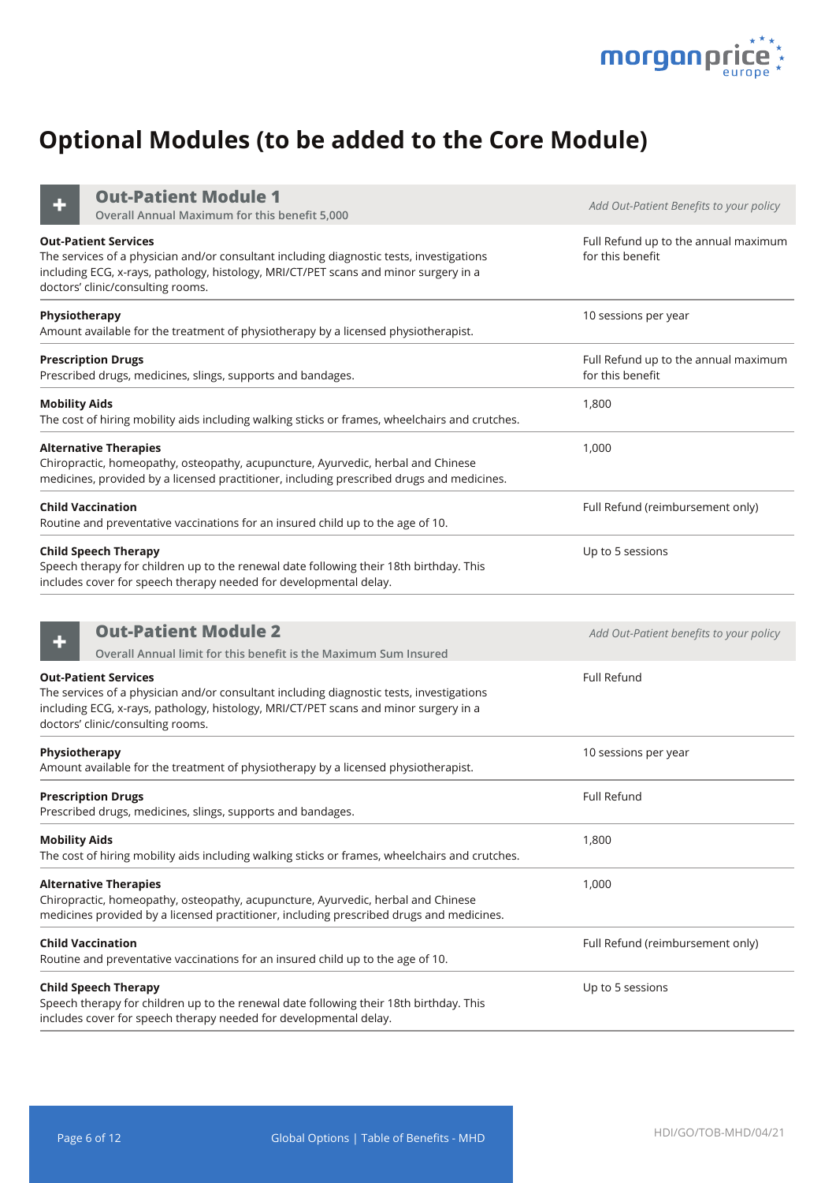

# **Optional Modules (to be added to the Core Module)**

**Out-Patient Module 1**

| Full Refund up to the annual maximum<br>for this benefit |
|----------------------------------------------------------|
|                                                          |
| 10 sessions per year                                     |
| Full Refund up to the annual maximum<br>for this benefit |
| 1,800                                                    |
| 1,000                                                    |
| Full Refund (reimbursement only)                         |
| Up to 5 sessions                                         |
|                                                          |
| Add Out-Patient benefits to your policy                  |
| Full Refund                                              |
| 10 sessions per year                                     |
| Full Refund                                              |
| 1,800                                                    |
| 1,000                                                    |
| Full Refund (reimbursement only)                         |
| Up to 5 sessions                                         |
|                                                          |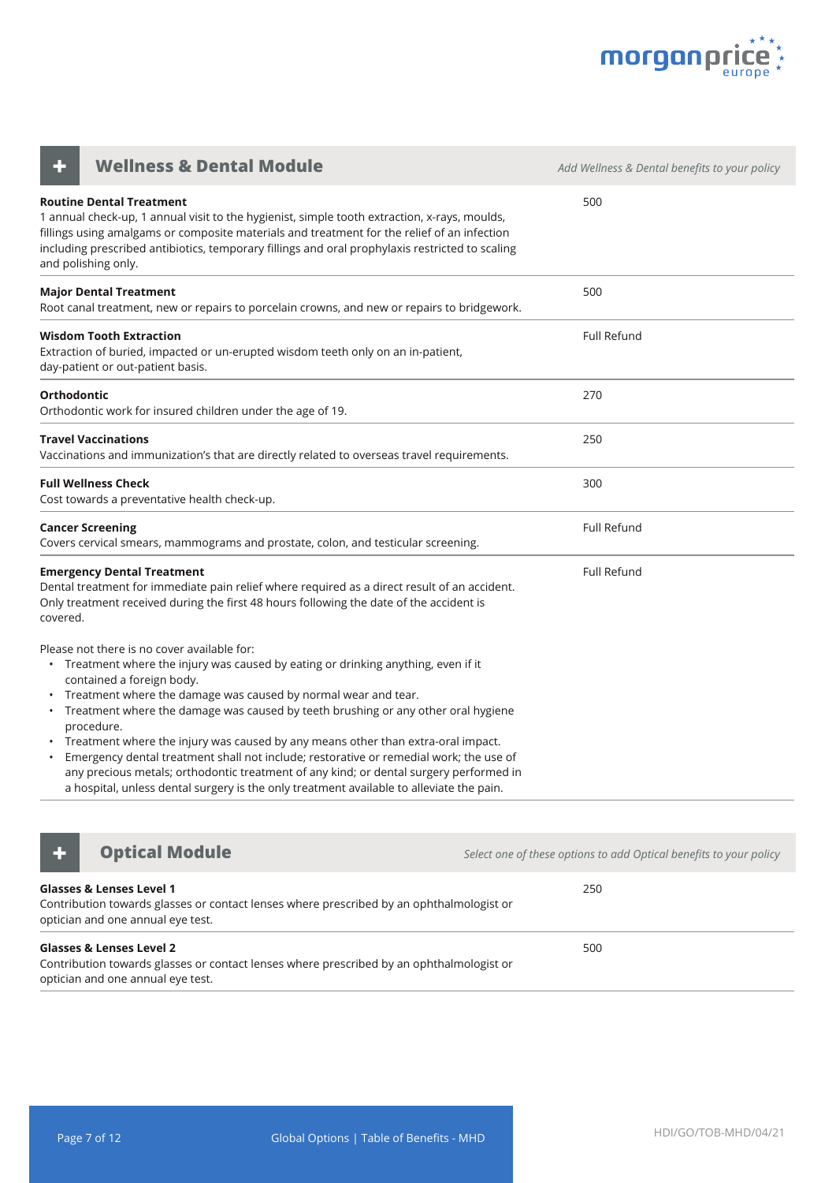

| <b>Wellness &amp; Dental Module</b>                                                                                                                                                                                                                                                                                                                                                                                                                                                                                                                                                                                                                                                                         | Add Wellness & Dental benefits to your policy |
|-------------------------------------------------------------------------------------------------------------------------------------------------------------------------------------------------------------------------------------------------------------------------------------------------------------------------------------------------------------------------------------------------------------------------------------------------------------------------------------------------------------------------------------------------------------------------------------------------------------------------------------------------------------------------------------------------------------|-----------------------------------------------|
| <b>Routine Dental Treatment</b><br>1 annual check-up, 1 annual visit to the hygienist, simple tooth extraction, x-rays, moulds,<br>fillings using amalgams or composite materials and treatment for the relief of an infection<br>including prescribed antibiotics, temporary fillings and oral prophylaxis restricted to scaling<br>and polishing only.                                                                                                                                                                                                                                                                                                                                                    | 500                                           |
| <b>Major Dental Treatment</b><br>Root canal treatment, new or repairs to porcelain crowns, and new or repairs to bridgework.                                                                                                                                                                                                                                                                                                                                                                                                                                                                                                                                                                                | 500                                           |
| Wisdom Tooth Extraction<br>Extraction of buried, impacted or un-erupted wisdom teeth only on an in-patient,<br>day-patient or out-patient basis.                                                                                                                                                                                                                                                                                                                                                                                                                                                                                                                                                            | Full Refund                                   |
| <b>Orthodontic</b><br>Orthodontic work for insured children under the age of 19.                                                                                                                                                                                                                                                                                                                                                                                                                                                                                                                                                                                                                            | 270                                           |
| <b>Travel Vaccinations</b><br>Vaccinations and immunization's that are directly related to overseas travel requirements.                                                                                                                                                                                                                                                                                                                                                                                                                                                                                                                                                                                    | 250                                           |
| <b>Full Wellness Check</b><br>Cost towards a preventative health check-up.                                                                                                                                                                                                                                                                                                                                                                                                                                                                                                                                                                                                                                  | 300                                           |
| <b>Cancer Screening</b><br>Covers cervical smears, mammograms and prostate, colon, and testicular screening.                                                                                                                                                                                                                                                                                                                                                                                                                                                                                                                                                                                                | <b>Full Refund</b>                            |
| <b>Emergency Dental Treatment</b><br>Dental treatment for immediate pain relief where required as a direct result of an accident.<br>Only treatment received during the first 48 hours following the date of the accident is<br>covered.                                                                                                                                                                                                                                                                                                                                                                                                                                                                    | Full Refund                                   |
| Please not there is no cover available for:<br>• Treatment where the injury was caused by eating or drinking anything, even if it<br>contained a foreign body.<br>Treatment where the damage was caused by normal wear and tear.<br>• Treatment where the damage was caused by teeth brushing or any other oral hygiene<br>procedure.<br>• Treatment where the injury was caused by any means other than extra-oral impact.<br>Emergency dental treatment shall not include; restorative or remedial work; the use of<br>any precious metals; orthodontic treatment of any kind; or dental surgery performed in<br>a hospital, unless dental surgery is the only treatment available to alleviate the pain. |                                               |



**+ Optical Module** *Continued Module Select one of these options to add Optical benefits to your policy* 

| <b>Glasses &amp; Lenses Level 1</b><br>Contribution towards glasses or contact lenses where prescribed by an ophthalmologist or<br>optician and one annual eye test. | 250 |
|----------------------------------------------------------------------------------------------------------------------------------------------------------------------|-----|
| <b>Glasses &amp; Lenses Level 2</b><br>Contribution towards glasses or contact lenses where prescribed by an ophthalmologist or<br>optician and one annual eye test. | 500 |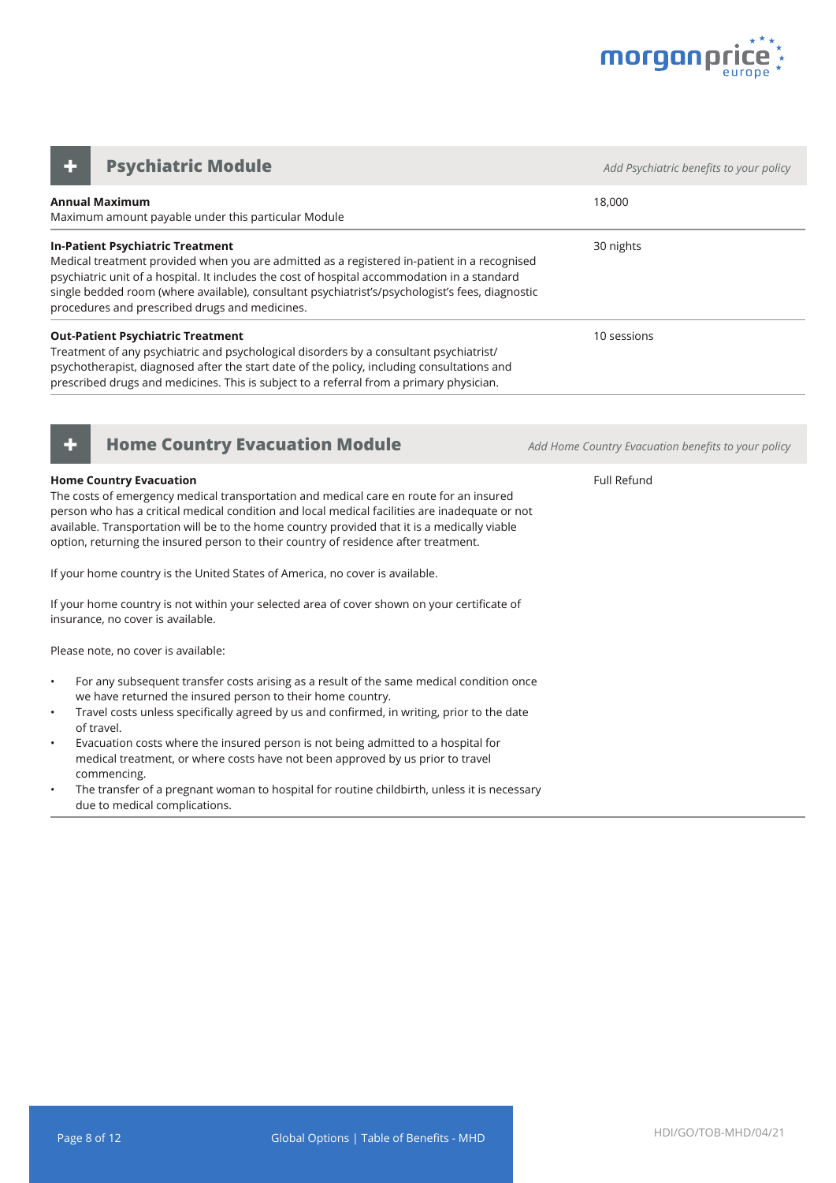

**Annual Maximum** Maximum amount payable under this particular Module 18,000 **In-Patient Psychiatric Treatment** Medical treatment provided when you are admitted as a registered in-patient in a recognised psychiatric unit of a hospital. It includes the cost of hospital accommodation in a standard single bedded room (where available), consultant psychiatrist's/psychologist's fees, diagnostic procedures and prescribed drugs and medicines. 30 nights **Out-Patient Psychiatric Treatment** Treatment of any psychiatric and psychological disorders by a consultant psychiatrist/ psychotherapist, diagnosed after the start date of the policy, including consultations and prescribed drugs and medicines. This is subject to a referral from a primary physician. 10 sessions **Psychiatric Module** *CONDUCTER <b>Adders Add Psychiatric benefits to your policy Adderson in the Add Psychiatric benefits to your policy* 



#### **Home Country Evacuation**

The costs of emergency medical transportation and medical care en route for an insured person who has a critical medical condition and local medical facilities are inadequate or not available. Transportation will be to the home country provided that it is a medically viable option, returning the insured person to their country of residence after treatment.

If your home country is the United States of America, no cover is available.

If your home country is not within your selected area of cover shown on your certificate of insurance, no cover is available.

Please note, no cover is available:

- For any subsequent transfer costs arising as a result of the same medical condition once we have returned the insured person to their home country.
- Travel costs unless specifically agreed by us and confirmed, in writing, prior to the date of travel.
- Evacuation costs where the insured person is not being admitted to a hospital for medical treatment, or where costs have not been approved by us prior to travel commencing.
- The transfer of a pregnant woman to hospital for routine childbirth, unless it is necessary due to medical complications.

**+ Home Country Evacuation Module** *Add Home Country Evacuation benefits to your policy*

Full Refund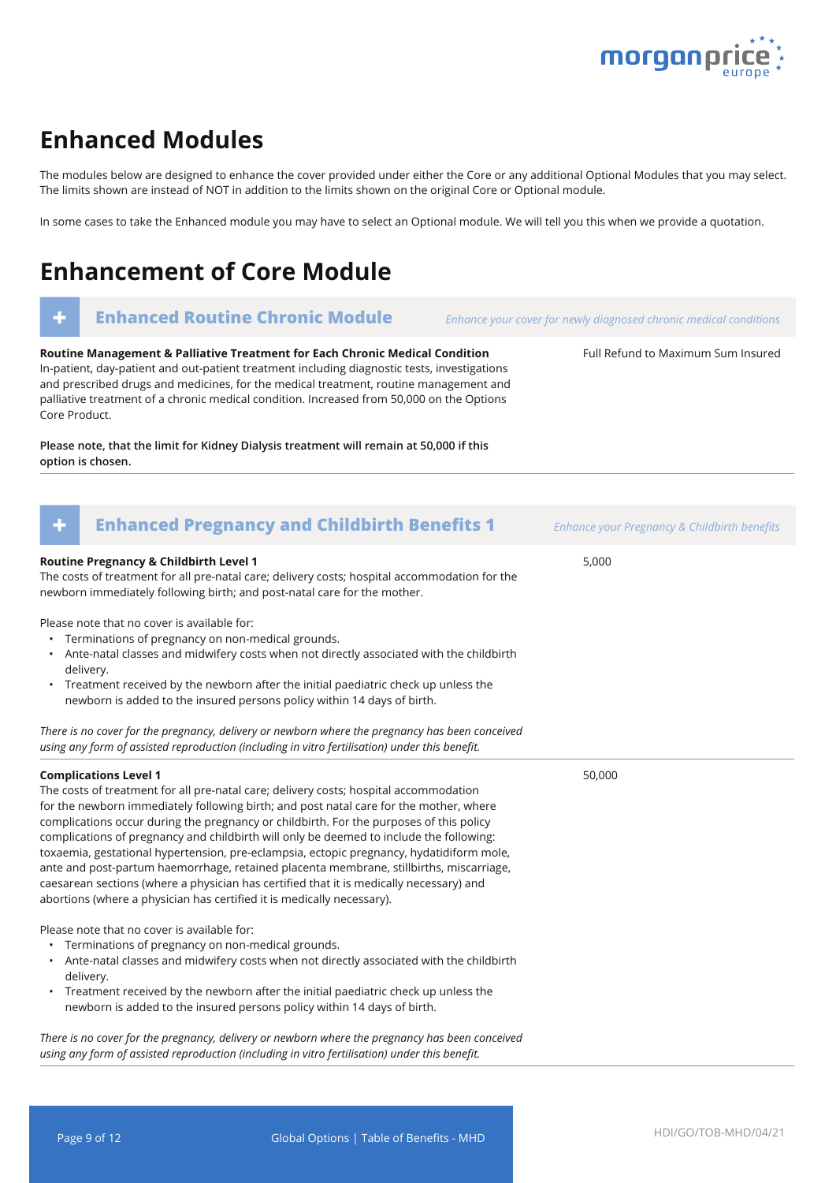

Full Refund to Maximum Sum Insured

### **Enhanced Modules**

The modules below are designed to enhance the cover provided under either the Core or any additional Optional Modules that you may select. The limits shown are instead of NOT in addition to the limits shown on the original Core or Optional module.

In some cases to take the Enhanced module you may have to select an Optional module. We will tell you this when we provide a quotation.

## **Enhancement of Core Module**

### **+ Enhanced Routine Chronic Module** *Enhance your cover for newly diagnosed chronic medical conditions*

**Routine Management & Palliative Treatment for Each Chronic Medical Condition** In-patient, day-patient and out-patient treatment including diagnostic tests, investigations and prescribed drugs and medicines, for the medical treatment, routine management and palliative treatment of a chronic medical condition. Increased from 50,000 on the Options Core Product.

**Please note, that the limit for Kidney Dialysis treatment will remain at 50,000 if this option is chosen.**

| <b>Enhanced Pregnancy and Childbirth Benefits 1</b><br>٠                                                                                                                                                                                                                                                                                                                                                                                                                                                                                                                                                                                                                                                                                                          | Enhance your Pregnancy & Childbirth benefits |
|-------------------------------------------------------------------------------------------------------------------------------------------------------------------------------------------------------------------------------------------------------------------------------------------------------------------------------------------------------------------------------------------------------------------------------------------------------------------------------------------------------------------------------------------------------------------------------------------------------------------------------------------------------------------------------------------------------------------------------------------------------------------|----------------------------------------------|
| Routine Pregnancy & Childbirth Level 1<br>The costs of treatment for all pre-natal care; delivery costs; hospital accommodation for the<br>newborn immediately following birth; and post-natal care for the mother.                                                                                                                                                                                                                                                                                                                                                                                                                                                                                                                                               | 5,000                                        |
| Please note that no cover is available for:<br>• Terminations of pregnancy on non-medical grounds.<br>• Ante-natal classes and midwifery costs when not directly associated with the childbirth<br>delivery.<br>• Treatment received by the newborn after the initial paediatric check up unless the<br>newborn is added to the insured persons policy within 14 days of birth.                                                                                                                                                                                                                                                                                                                                                                                   |                                              |
| There is no cover for the pregnancy, delivery or newborn where the pregnancy has been conceived<br>using any form of assisted reproduction (including in vitro fertilisation) under this benefit.                                                                                                                                                                                                                                                                                                                                                                                                                                                                                                                                                                 |                                              |
| <b>Complications Level 1</b><br>The costs of treatment for all pre-natal care; delivery costs; hospital accommodation<br>for the newborn immediately following birth; and post natal care for the mother, where<br>complications occur during the pregnancy or childbirth. For the purposes of this policy<br>complications of pregnancy and childbirth will only be deemed to include the following:<br>toxaemia, gestational hypertension, pre-eclampsia, ectopic pregnancy, hydatidiform mole,<br>ante and post-partum haemorrhage, retained placenta membrane, stillbirths, miscarriage,<br>caesarean sections (where a physician has certified that it is medically necessary) and<br>abortions (where a physician has certified it is medically necessary). | 50,000                                       |
| Please note that no cover is available for:<br>• Terminations of pregnancy on non-medical grounds.<br>• Ante-natal classes and midwifery costs when not directly associated with the childbirth<br>delivery.<br>Treatment received by the newborn after the initial paediatric check up unless the<br>$\bullet$<br>newborn is added to the insured persons policy within 14 days of birth.<br>There is no cover for the pregnancy delivery or newborn where the pregnancy has been consejued                                                                                                                                                                                                                                                                      |                                              |

*There is no cover for the pregnancy, delivery or newborn where the pregnancy has been conceived using any form of assisted reproduction (including in vitro fertilisation) under this benefit.*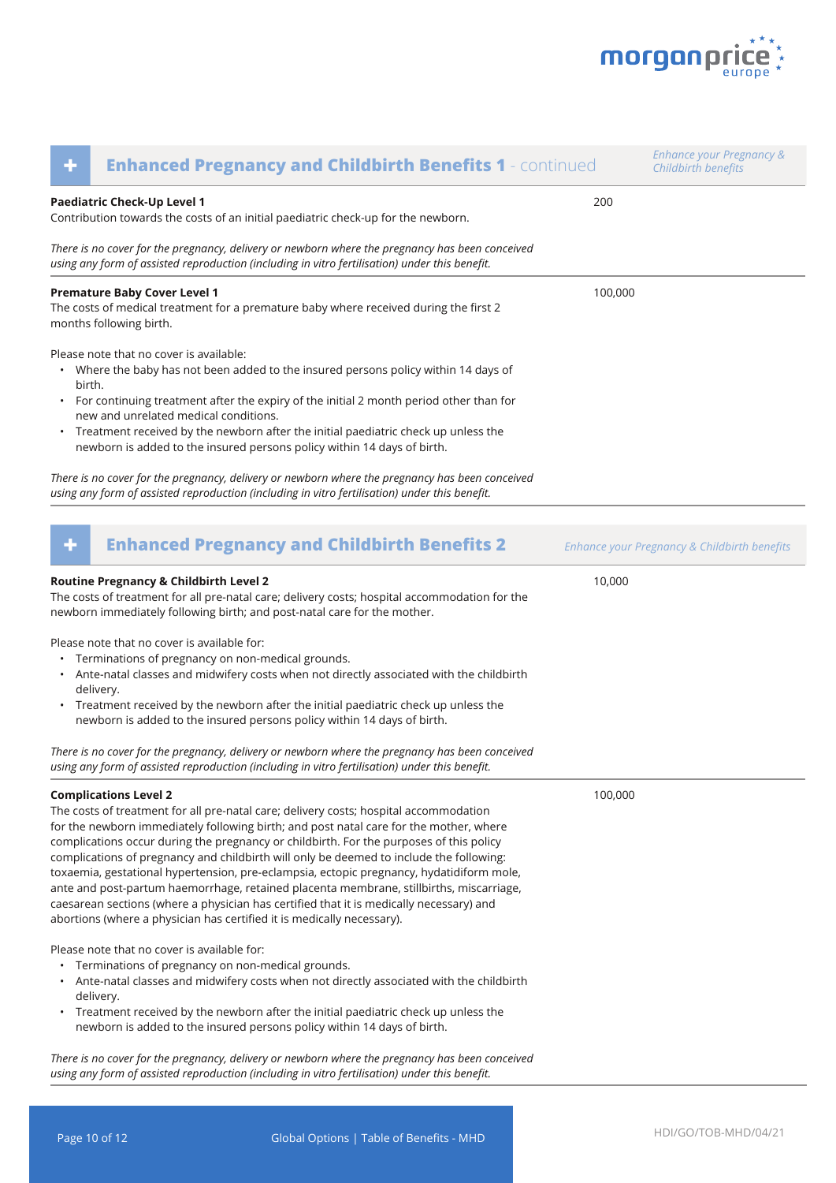

| ٠              | <b>Enhanced Pregnancy and Childbirth Benefits 1 - continued</b>                                                                                                                                                                                                                                                                                                                                                                                                                                                                                                                                                                                                                                                                                                   |         | <b>Enhance your Pregnancy &amp;</b><br>Childbirth benefits |
|----------------|-------------------------------------------------------------------------------------------------------------------------------------------------------------------------------------------------------------------------------------------------------------------------------------------------------------------------------------------------------------------------------------------------------------------------------------------------------------------------------------------------------------------------------------------------------------------------------------------------------------------------------------------------------------------------------------------------------------------------------------------------------------------|---------|------------------------------------------------------------|
|                | Paediatric Check-Up Level 1<br>Contribution towards the costs of an initial paediatric check-up for the newborn.                                                                                                                                                                                                                                                                                                                                                                                                                                                                                                                                                                                                                                                  | 200     |                                                            |
|                | There is no cover for the pregnancy, delivery or newborn where the pregnancy has been conceived<br>using any form of assisted reproduction (including in vitro fertilisation) under this benefit.                                                                                                                                                                                                                                                                                                                                                                                                                                                                                                                                                                 |         |                                                            |
|                | <b>Premature Baby Cover Level 1</b><br>The costs of medical treatment for a premature baby where received during the first 2<br>months following birth.                                                                                                                                                                                                                                                                                                                                                                                                                                                                                                                                                                                                           | 100,000 |                                                            |
| birth.         | Please note that no cover is available:<br>• Where the baby has not been added to the insured persons policy within 14 days of<br>For continuing treatment after the expiry of the initial 2 month period other than for<br>new and unrelated medical conditions.<br>• Treatment received by the newborn after the initial paediatric check up unless the<br>newborn is added to the insured persons policy within 14 days of birth.                                                                                                                                                                                                                                                                                                                              |         |                                                            |
|                | There is no cover for the pregnancy, delivery or newborn where the pregnancy has been conceived<br>using any form of assisted reproduction (including in vitro fertilisation) under this benefit.                                                                                                                                                                                                                                                                                                                                                                                                                                                                                                                                                                 |         |                                                            |
| ٠              | <b>Enhanced Pregnancy and Childbirth Benefits 2</b>                                                                                                                                                                                                                                                                                                                                                                                                                                                                                                                                                                                                                                                                                                               |         | Enhance your Pregnancy & Childbirth benefits               |
| $\bullet$<br>٠ | Routine Pregnancy & Childbirth Level 2<br>The costs of treatment for all pre-natal care; delivery costs; hospital accommodation for the<br>newborn immediately following birth; and post-natal care for the mother.<br>Please note that no cover is available for:<br>Terminations of pregnancy on non-medical grounds.<br>Ante-natal classes and midwifery costs when not directly associated with the childbirth<br>delivery.<br>Treatment received by the newborn after the initial paediatric check up unless the<br>newborn is added to the insured persons policy within 14 days of birth.                                                                                                                                                                  | 10,000  |                                                            |
|                | There is no cover for the pregnancy, delivery or newborn where the pregnancy has been conceived<br>using any form of assisted reproduction (including in vitro fertilisation) under this benefit.                                                                                                                                                                                                                                                                                                                                                                                                                                                                                                                                                                 |         |                                                            |
|                | <b>Complications Level 2</b><br>The costs of treatment for all pre-natal care; delivery costs; hospital accommodation<br>for the newborn immediately following birth; and post natal care for the mother, where<br>complications occur during the pregnancy or childbirth. For the purposes of this policy<br>complications of pregnancy and childbirth will only be deemed to include the following:<br>toxaemia, gestational hypertension, pre-eclampsia, ectopic pregnancy, hydatidiform mole,<br>ante and post-partum haemorrhage, retained placenta membrane, stillbirths, miscarriage,<br>caesarean sections (where a physician has certified that it is medically necessary) and<br>abortions (where a physician has certified it is medically necessary). | 100,000 |                                                            |
|                | Please note that no cover is available for:<br>Terminations of pregnancy on non-medical grounds.<br>Ante-natal classes and midwifery costs when not directly associated with the childbirth<br>delivery.<br>• Treatment received by the newborn after the initial paediatric check up unless the<br>newborn is added to the insured persons policy within 14 days of birth.<br>There is no cover for the pregnancy, delivery or newborn where the pregnancy has been conceived                                                                                                                                                                                                                                                                                    |         |                                                            |
|                | using any form of assisted reproduction (including in vitro fertilisation) under this benefit.                                                                                                                                                                                                                                                                                                                                                                                                                                                                                                                                                                                                                                                                    |         |                                                            |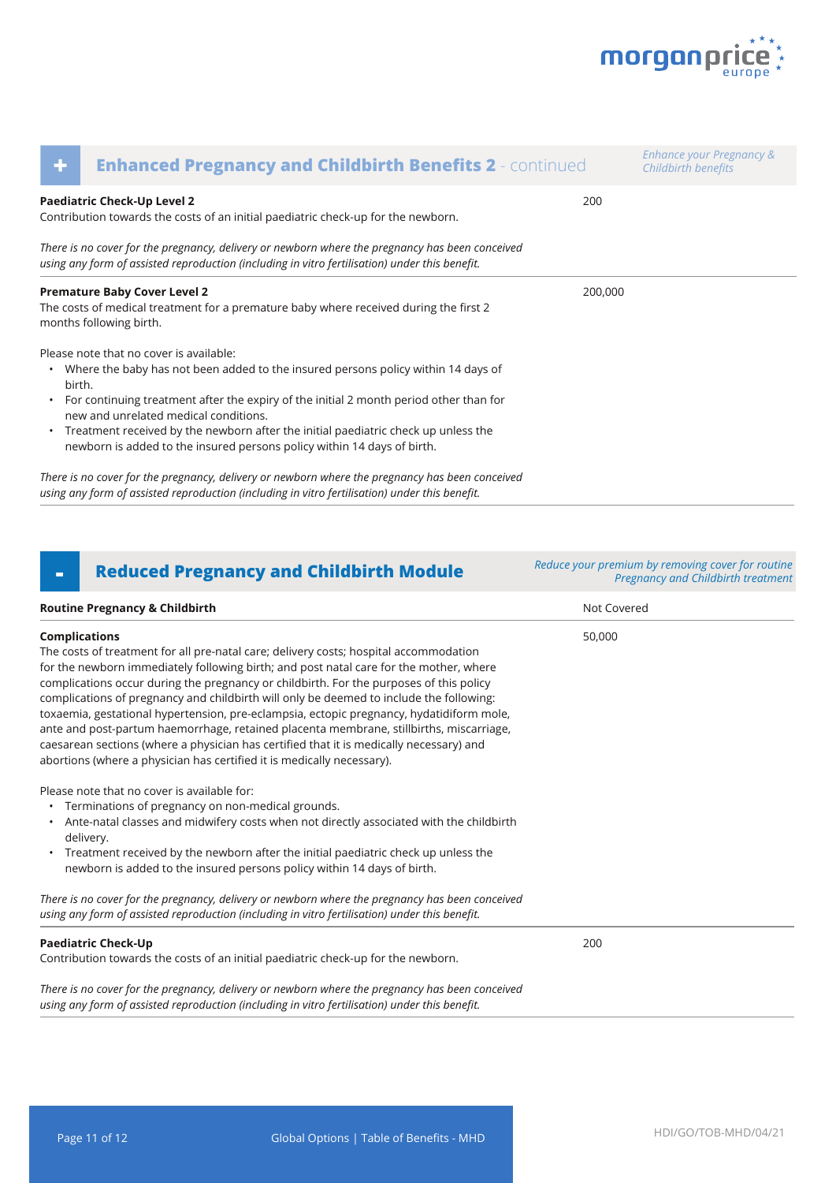

| ٠      | <b>Enhanced Pregnancy and Childbirth Benefits 2 - continued</b>                                                                                                                                                                                                                                                                                                                                                                        |         | Enhance your Pregnancy &<br>Childbirth benefits |
|--------|----------------------------------------------------------------------------------------------------------------------------------------------------------------------------------------------------------------------------------------------------------------------------------------------------------------------------------------------------------------------------------------------------------------------------------------|---------|-------------------------------------------------|
|        | Paediatric Check-Up Level 2<br>Contribution towards the costs of an initial paediatric check-up for the newborn.                                                                                                                                                                                                                                                                                                                       | 200     |                                                 |
|        | There is no cover for the pregnancy, delivery or newborn where the pregnancy has been conceived<br>using any form of assisted reproduction (including in vitro fertilisation) under this benefit.                                                                                                                                                                                                                                      |         |                                                 |
|        | <b>Premature Baby Cover Level 2</b><br>The costs of medical treatment for a premature baby where received during the first 2<br>months following birth.                                                                                                                                                                                                                                                                                | 200,000 |                                                 |
| birth. | Please note that no cover is available:<br>• Where the baby has not been added to the insured persons policy within 14 days of<br>• For continuing treatment after the expiry of the initial 2 month period other than for<br>new and unrelated medical conditions.<br>• Treatment received by the newborn after the initial paediatric check up unless the<br>newborn is added to the insured persons policy within 14 days of birth. |         |                                                 |
|        | There is no cover for the pregnancy, delivery or newborn where the pregnancy has been conceived                                                                                                                                                                                                                                                                                                                                        |         |                                                 |

*using any form of assisted reproduction (including in vitro fertilisation) under this benefit.* 

**Routine Pregnancy & Childbirth Not Covered Not Covered Not Covered Not Covered Complications** The costs of treatment for all pre-natal care; delivery costs; hospital accommodation for the newborn immediately following birth; and post natal care for the mother, where complications occur during the pregnancy or childbirth. For the purposes of this policy complications of pregnancy and childbirth will only be deemed to include the following: toxaemia, gestational hypertension, pre-eclampsia, ectopic pregnancy, hydatidiform mole, ante and post-partum haemorrhage, retained placenta membrane, stillbirths, miscarriage, caesarean sections (where a physician has certified that it is medically necessary) and abortions (where a physician has certified it is medically necessary). Please note that no cover is available for: • Terminations of pregnancy on non-medical grounds. • Ante-natal classes and midwifery costs when not directly associated with the childbirth delivery. • Treatment received by the newborn after the initial paediatric check up unless the newborn is added to the insured persons policy within 14 days of birth. *There is no cover for the pregnancy, delivery or newborn where the pregnancy has been conceived using any form of assisted reproduction (including in vitro fertilisation) under this benefit.*  50,000 **Paediatric Check-Up** Contribution towards the costs of an initial paediatric check-up for the newborn. *There is no cover for the pregnancy, delivery or newborn where the pregnancy has been conceived using any form of assisted reproduction (including in vitro fertilisation) under this benefit.*  200 **- Reduced Pregnancy and Childbirth Module** *Reduce your premium by removing cover for routine Pregnancy and Childbirth treatment*